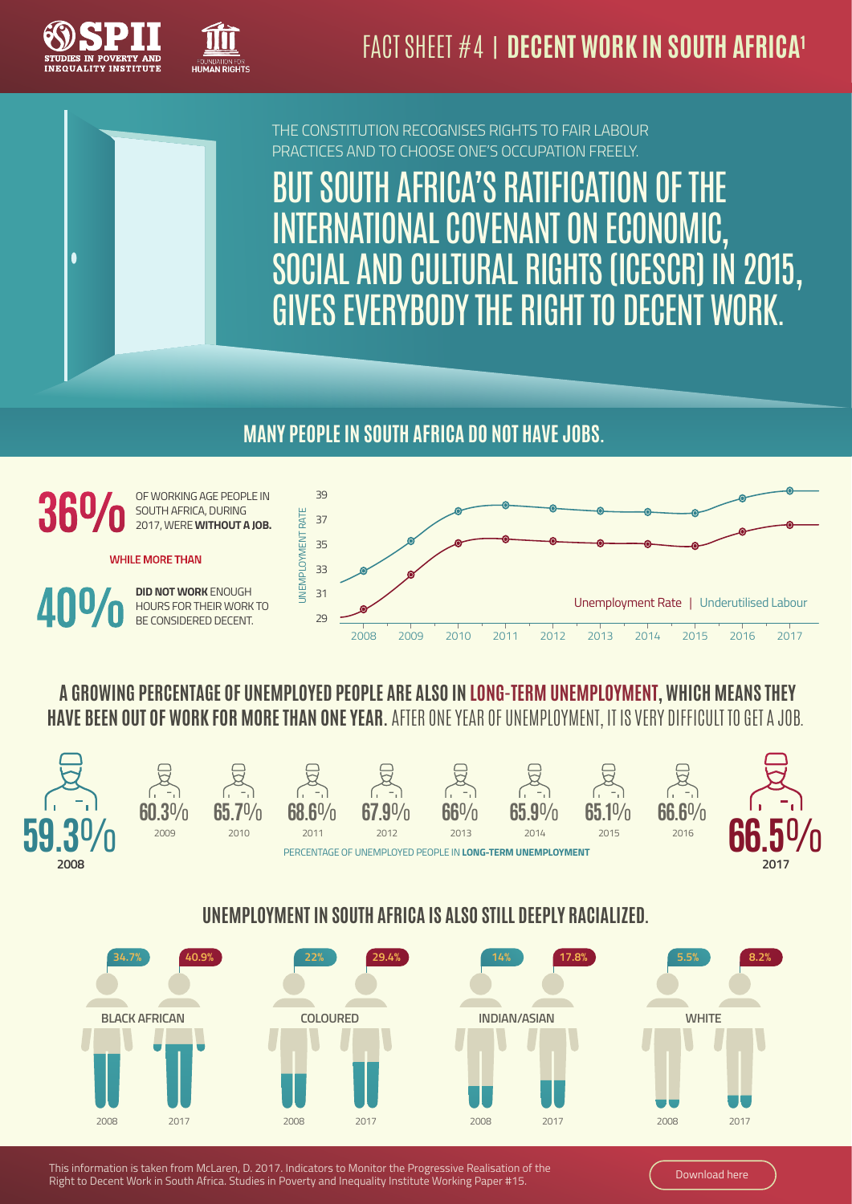



THE CONSTITUTION RECOGNISES RIGHTS TO FAIR LABOUR PRACTICES AND TO CHOOSE ONE'S OCCUPATION FREELY.

SOUTH AFRICA'S RATIFICATION OF THE INTERNATIONAL COVENANT ON ECONOMIC, SOCIAL AND CULTURAL RIGHTS (ICESCR) IN 2015, GIVES EVERYBODY THE RIGHT TO DECENT WORK.

### **MANY PEOPLE IN SOUTH AFRICA DO NOT HAVE JOBS.**



**ANO** 

OF WORKING AGE PEOPLE IN SOUTH AFRICA, DURING 2017, WERE **WITHOUT A JOB.**

**WHILE MORE THAN** 

**DID NOT WORK** ENOUGH HOURS FOR THEIR WORK TO BE CONSIDERED DECENT.



### **A GROWING PERCENTAGE OF UNEMPLOYED PEOPLE ARE ALSO IN LONG-TERM UNEMPLOYMENT, WHICH MEANS THEY HAVE BEEN OUT OF WORK FOR MORE THAN ONE YEAR.** AFTER ONE YEAR OF UNEMPLOYMENT, IT IS VERY DIFFICULT TO GET A JOB.



### **UNEMPLOYMENT IN SOUTH AFRICA IS ALSO STILL DEEPLY RACIALIZED.**



This information is taken from McLaren, D. 2017. Indicators to Monitor the Progressive Realisation of the This information is taken from Wictaren, D. 2017. Indicators to Womtor the Progressive Realisation of the Month Africa. Studies in Poverty and Inequality Institute Working Paper #15. [Download here](http://www.spii.org.za/files/2017-SPII-Working-Paper-15-Indicators-to-Monitor-the-Right-to-Decent-Work.pdf) in Poverty and Inequality